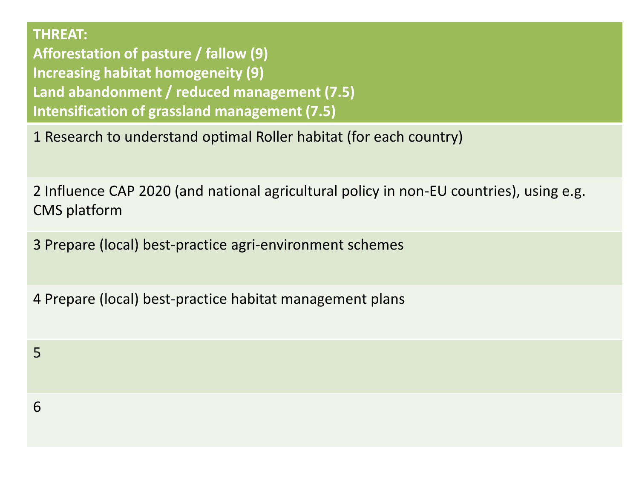**THREAT:** 

5

6

**Afforestation of pasture / fallow (9) Increasing habitat homogeneity (9) Land abandonment / reduced management (7.5) Intensification of grassland management (7.5)**

1 Research to understand optimal Roller habitat (for each country)

2 Influence CAP 2020 (and national agricultural policy in non-EU countries), using e.g. CMS platform

3 Prepare (local) best-practice agri-environment schemes

4 Prepare (local) best-practice habitat management plans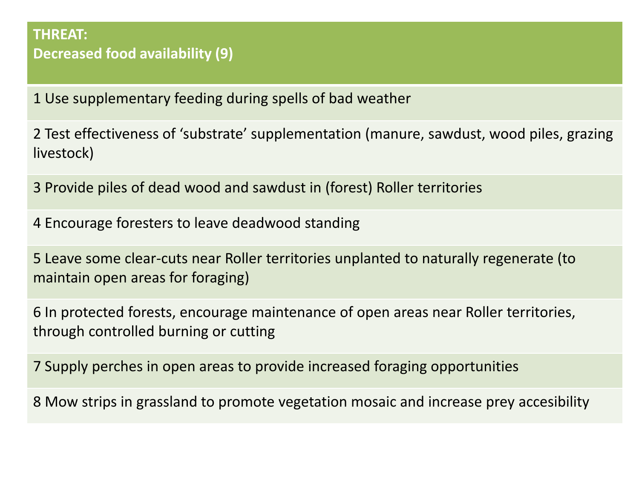#### **THREAT: Decreased food availability (9)**

1 Use supplementary feeding during spells of bad weather

2 Test effectiveness of 'substrate' supplementation (manure, sawdust, wood piles, grazing livestock)

3 Provide piles of dead wood and sawdust in (forest) Roller territories

4 Encourage foresters to leave deadwood standing

5 Leave some clear-cuts near Roller territories unplanted to naturally regenerate (to maintain open areas for foraging)

6 In protected forests, encourage maintenance of open areas near Roller territories, through controlled burning or cutting

7 Supply perches in open areas to provide increased foraging opportunities

8 Mow strips in grassland to promote vegetation mosaic and increase prey accesibility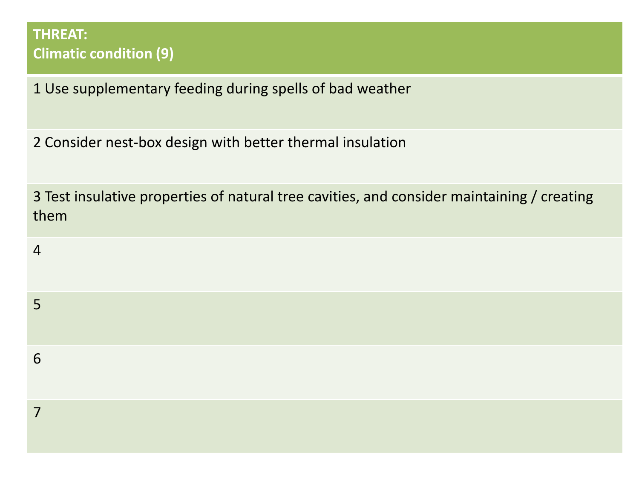### **THREAT: Climatic condition (9)**

1 Use supplementary feeding during spells of bad weather

2 Consider nest-box design with better thermal insulation

3 Test insulative properties of natural tree cavities, and consider maintaining / creating them

| $\overline{4}$ |  |  |  |
|----------------|--|--|--|
| 5              |  |  |  |
| 6              |  |  |  |
| 7              |  |  |  |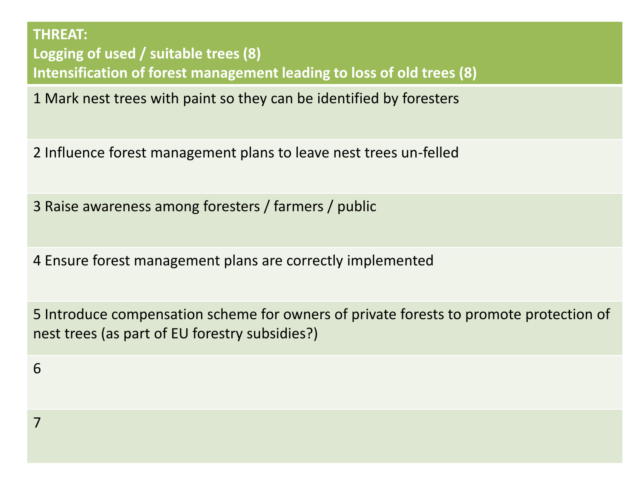**THREAT: Logging of used / suitable trees (8) Intensification of forest management leading to loss of old trees (8)**

1 Mark nest trees with paint so they can be identified by foresters

2 Influence forest management plans to leave nest trees un-felled

3 Raise awareness among foresters / farmers / public

4 Ensure forest management plans are correctly implemented

5 Introduce compensation scheme for owners of private forests to promote protection of nest trees (as part of EU forestry subsidies?)

6

7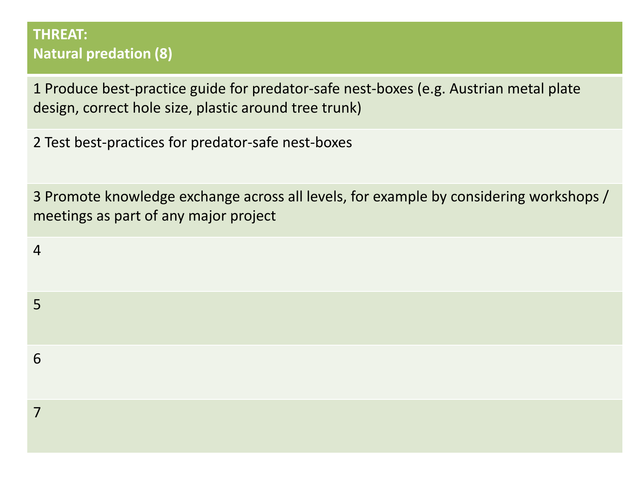### **THREAT: Natural predation (8)**

1 Produce best-practice guide for predator-safe nest-boxes (e.g. Austrian metal plate design, correct hole size, plastic around tree trunk)

2 Test best-practices for predator-safe nest-boxes

3 Promote knowledge exchange across all levels, for example by considering workshops / meetings as part of any major project

| $\overline{4}$ |  |  |  |
|----------------|--|--|--|
| 5              |  |  |  |
| 6              |  |  |  |
| 7              |  |  |  |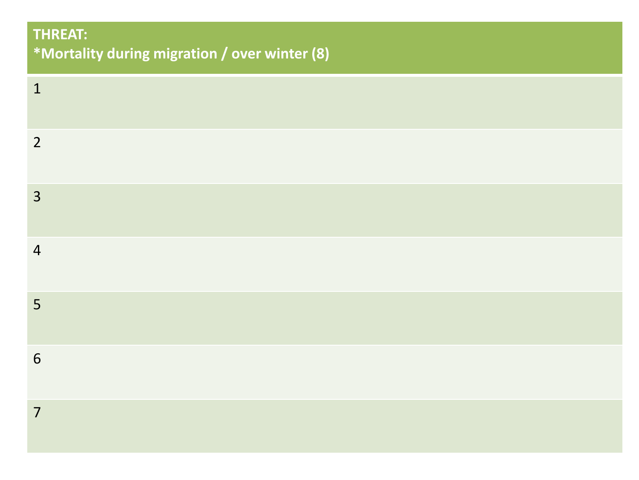# **THREAT: \*Mortality during migration / over winter (8)**

| $\mathbf{1}$   |  |  |  |
|----------------|--|--|--|
| $\overline{2}$ |  |  |  |
| 3              |  |  |  |
| $\overline{4}$ |  |  |  |
| 5              |  |  |  |
| $\sqrt{6}$     |  |  |  |
| $\overline{7}$ |  |  |  |